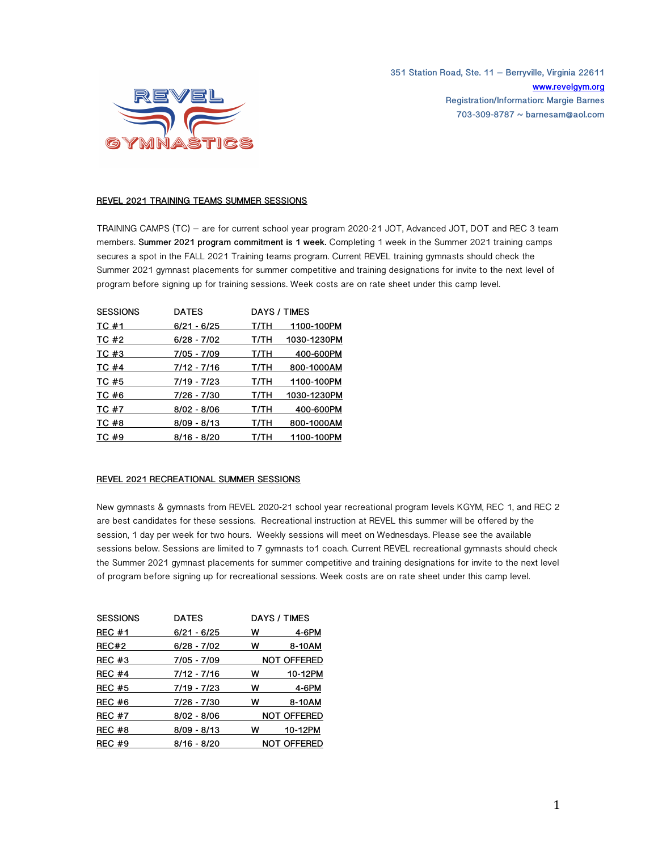**351 Station Road, Ste. 11 – Berryville, Virginia 22611 www.revelgym.org Registration/Information: Margie Barnes 703-309-8787 ~ barnesam@aol.com**



## **REVEL 2021 TRAINING TEAMS SUMMER SESSIONS**

TRAINING CAMPS (TC) – are for current school year program 2020-21 JOT, Advanced JOT, DOT and REC 3 team members. **Summer 2021 program commitment is 1 week.** Completing 1 week in the Summer 2021 training camps secures a spot in the FALL 2021 Training teams program. Current REVEL training gymnasts should check the Summer 2021 gymnast placements for summer competitive and training designations for invite to the next level of program before signing up for training sessions. Week costs are on rate sheet under this camp level.

| <b>SESSIONS</b> | <b>DATES</b>  |      | DAYS / TIMES |
|-----------------|---------------|------|--------------|
| TC #1           | $6/21 - 6/25$ | т/тн | 1100-100PM   |
| TC #2           | $6/28 - 7/02$ | T/TH | 1030-1230PM  |
| TC #3           | 7/05 - 7/09   | T/TH | 400-600PM    |
| TC #4           | 7/12 - 7/16   | T/TH | 800-1000AM   |
| TC #5           | 7/19 - 7/23   | T/TH | 1100-100PM   |
| TC #6           | 7/26 - 7/30   | T/TH | 1030-1230PM  |
| TC #7           | $8/02 - 8/06$ | T/TH | 400-600PM    |
| TC #8           | $8/09 - 8/13$ | T/TH | 800-1000AM   |
| TC #9           | 8/16 - 8/20   | T/TH | 1100-100PM   |

## **REVEL 2021 RECREATIONAL SUMMER SESSIONS**

New gymnasts & gymnasts from REVEL 2020-21 school year recreational program levels KGYM, REC 1, and REC 2 are best candidates for these sessions. Recreational instruction at REVEL this summer will be offered by the session, 1 day per week for two hours. Weekly sessions will meet on Wednesdays. Please see the available sessions below. Sessions are limited to 7 gymnasts to1 coach. Current REVEL recreational gymnasts should check the Summer 2021 gymnast placements for summer competitive and training designations for invite to the next level of program before signing up for recreational sessions. Week costs are on rate sheet under this camp level.

| <b>SESSIONS</b> | <b>DATES</b>  |   | DAYS / TIMES       |
|-----------------|---------------|---|--------------------|
| <b>REC #1</b>   | $6/21 - 6/25$ | w | 4-6PM              |
| REC#2           | $6/28 - 7/02$ | w | 8-10AM             |
| REC#3           | 7/05 - 7/09   |   | <b>NOT OFFERED</b> |
| <b>REC #4</b>   | 7/12 - 7/16   | w | 10-12PM            |
| <b>REC #5</b>   | 7/19 - 7/23   | w | 4-6PM              |
| <b>REC #6</b>   | 7/26 - 7/30   | w | 8-10AM             |
| <b>REC #7</b>   | $8/02 - 8/06$ |   | <b>NOT OFFERED</b> |
| REC #8          | $8/09 - 8/13$ | w | 10-12PM            |
| <b>REC #9</b>   | 8/16 - 8/20   |   | <b>NOT OFFERED</b> |